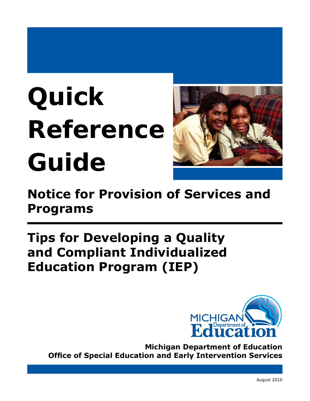# **Quick Reference Guide**



# **Notice for Provision of Services and Programs**

# **Tips for Developing a Quality and Compliant Individualized Education Program (IEP)**



**Michigan Department of Education Office of Special Education and Early Intervention Services**

August 2010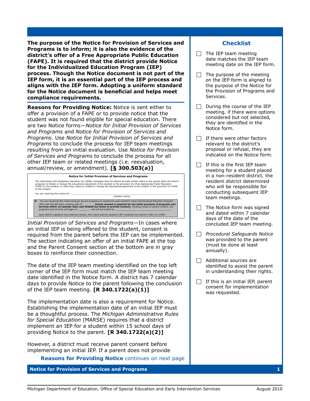**The purpose of the Notice for Provision of Services and Programs is to inform; it is also the evidence of the district's offer of a Free Appropriate Public Education (FAPE). It is required that the district provide Notice for the Individualized Education Program (IEP) process. Though the Notice document is not part of the IEP form, it is an essential part of the IEP process and aligns with the IEP form. Adopting a uniform standard for the Notice document is beneficial and helps meet compliance requirements.**

*Reasons for Providing Notice:* Notice is sent either to offer a provision of a FAPE or to provide notice that the student was not found eligible for special education. There are two Notice forms*―Notice for Initial Provision of Services and Programs* and *Notice for Provision of Services and Programs*. Use *Notice for Initial Provision of Services and Programs* to conclude the process for IEP team meetings resulting from an initial evaluation. Use *Notice for Provision of Services and Programs* to conclude the process for all other IEP team or related meetings (i.e. reevaluation, annual/review, or amendment). **[§ 300.503(a)]**



*Initial Provision of Services and Programs―*In cases where an initial IEP is being offered to the student, consent is required from the parent before the IEP can be implemented. The section indicating an offer of an initial FAPE at the top and the Parent Consent section at the bottom are in gray boxes to reinforce their connection.

The date of the IEP team meeting identified on the top left corner of the IEP form must match the IEP team meeting date identified in the Notice form. A district has 7 calendar days to provide Notice to the parent following the conclusion of the IEP team meeting. **[R 340.1722(a)(1)]**

The implementation date is also a requirement for Notice. Establishing the implementation date of an initial IEP must be a thoughtful process. The *Michigan Administrative Rules for Special Education* (MARSE) requires that a district implement an IEP for a student within 15 school days of providing Notice to the parent. **[R 340.1722(a)(2)]**

However, a district must receive parent consent before implementing an initial IEP. If a parent does not provide

*Reasons for Providing Notice continues on next page* 

**Notice for Provision of Services and Programs 1**

## **Checklist**

- $\Box$  The IEP team meeting date matches the IEP team meeting date on the IEP form.
- $\Box$  The purpose of the meeting on the IEP form is aligned to the purpose of the Notice for the Provision of Programs and Services.
- $\Box$  During the course of the IEP meeting, if there were options considered but not selected, they are identified in the Notice form.
- $\Box$  If there were other factors relevant to the district's proposal or refusal, they are indicated on the Notice form.
- $\Box$  If this is the first IEP team meeting for a student placed in a non-resident district, the resident district determined who will be responsible for conducting subsequent IEP team meetings.
- $\Box$  The Notice form was signed and dated within 7 calendar days of the date of the concluded IEP team meeting.
- **F** *Procedural Safeguards Notice* was provided to the parent (must be done at least annually).
- $\Box$  Additional sources are identified to assist the parent in understanding their rights.
- $\Box$  If this is an initial IEP, parent consent for implementation was requested.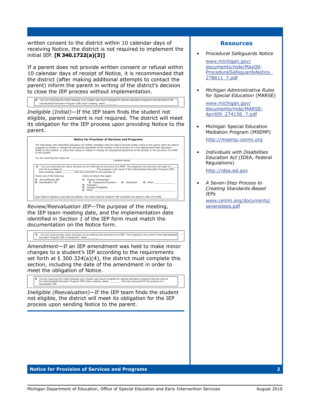written consent to the district within 10 calendar days of receiving Notice, the district is not required to implement the initial IEP. **[R 340.1722(a)(3)]**

If a parent does not provide written consent or refusal within 10 calendar days of receipt of Notice, it is recommended that the district (after making additional attempts to contact the parent) inform the parent in writing of the district's decision to close the IEP process without implementation.

Individualized Education Program (IEP) team meeting, dated \_\_\_\_\_\_\_\_\_\_.<br>Individualized Education Program (IEP) team meeting, dated \_\_\_\_\_\_\_\_\_\_\_. You are receiving this notice because your student was found ineligible for special education progra

*Ineligible (Initial)―*If the IEP team finds the student not eligible, parent consent is not required. The district will meet its obligation for the IEP process upon providing Notice to the parent.

| to the student.                                       | The Individuals with Disabilities Education Act (IDEA) mandates that the district provide written notice to the parent when the district<br>proposes to initiate or change the educational placement of the student or the provision of a Free Appropriate Public Education<br>(FAPE) to the student; or when they refuse to initiate or change the educational placement of the student or the provision of a FAPE |
|-------------------------------------------------------|---------------------------------------------------------------------------------------------------------------------------------------------------------------------------------------------------------------------------------------------------------------------------------------------------------------------------------------------------------------------------------------------------------------------|
|                                                       | You are receiving this notice for: The state of the state of the state of the state of the SN state of the SN state of the SN state of the SN state of the SN state of the SN state of the SN state of the SN state of the SN<br>(student name)<br>□ You are receiving this notice because we are offering the provision of a FAPE. The programs and services will begin on □                                       |
|                                                       | team meeting, dated , that was convened for the purpose of:                                                                                                                                                                                                                                                                                                                                                         |
| Check one of the following:<br>Annual/Review IEP<br>о | Check all others that apply:<br>□ Change of Placement<br>□ Suspension/Expulsion □ Graduation □ Other: ____________                                                                                                                                                                                                                                                                                                  |

*Review/Reevaluation IEP―*The purpose of the meeting, the IEP team meeting date, and the implementation date identified in *Section 1* of the IEP form must match the documentation on the Notice form.

■ You are receiving this notice because we are offering the provision of a FAPE. This proposal is the result of the Individualized<br>Education Program (IEP) Amendment, dated \_\_\_\_\_\_\_\_\_\_\_\_

*Amendment―*If an IEP amendment was held to make minor changes to a student's IEP according to the requirements set forth at § 300.324(a)(4), the district must complete this section, including the date of the amendment in order to meet the obligation of Notice.

□ You are receiving this notice because your student was found ineligible for special education programs and services at<br>the Individualized Education Program (IEP) team meeting, dated \_\_\_\_\_\_\_\_, that was convened for the p reevaluation IEP.

*Ineligible (Reevaluation)―*If the IEP team finds the student not eligible, the district will meet its obligation for the IEP process upon sending Notice to the parent.

### **Resources**

*• Procedural Safeguards Notice*

[www.michigan.gov/](http://www.michigan.gov/documents/mde/May09-ProceduralSafeguardsNotice_278611_7.pdf) [documents/mde/May09-](http://www.michigan.gov/documents/mde/May09-ProceduralSafeguardsNotice_278611_7.pdf) [ProceduralSafeguardsNotice\\_](http://www.michigan.gov/documents/mde/May09-ProceduralSafeguardsNotice_278611_7.pdf) [278611\\_7.pd](http://www.michigan.gov/documents/mde/May09-ProceduralSafeguardsNotice_278611_7.pdf)f

*• Michigan Administrative Rules for Special Education* (MARSE)

> [www.michigan.gov/](http://www.michigan.gov/documents/mde/MARSE-April09_274156_7.pdf) [documents/mde/MARSE-](http://www.michigan.gov/documents/mde/MARSE-April09_274156_7.pdf)[April09\\_274156\\_7.pd](http://www.michigan.gov/documents/mde/MARSE-April09_274156_7.pdf)f

- Michigan Special Education Mediation Program (MSEMP) <http://msemp.cenmi.org>
- *• Individuals with Disabilities Education Act* (IDEA, Federal Regulations)

[http://idea.ed.gov](http://idea.ed.gov/explore/view/p/%2Croot%2Cregs%2C)

*• A Seven-Step Process to Creating Standards-Based IEPs*

[www.cenmi.org/documents/](www.cenmi.org/documents/sevensteps.pdf) [sevensteps.pd](www.cenmi.org/documents/sevensteps.pdf)f

#### **Notice for Provision of Services and Programs 2**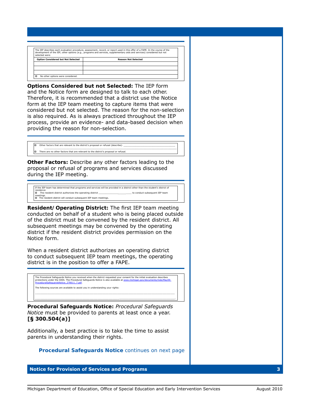| The IEP describes each evaluation procedure, assessment, record, or report used in this offer of a FAPE. In the course of the<br>development of the IEP, other options (e.g., programs and services, supplementary aids and services) considered but not<br>selected were: |                            |  |
|----------------------------------------------------------------------------------------------------------------------------------------------------------------------------------------------------------------------------------------------------------------------------|----------------------------|--|
| <b>Option Considered but Not Selected</b>                                                                                                                                                                                                                                  | <b>Reason Not Selected</b> |  |
|                                                                                                                                                                                                                                                                            |                            |  |
|                                                                                                                                                                                                                                                                            |                            |  |
|                                                                                                                                                                                                                                                                            |                            |  |
| No other options were considered.                                                                                                                                                                                                                                          |                            |  |

*Options Considered but not Selected:* The IEP form and the Notice form are designed to talk to each other. Therefore, it is recommended that a district use the Notice form at the IEP team meeting to capture items that were considered but not selected. The reason for the non-selection is also required. As is always practiced throughout the IEP process, provide an evidence- and data-based decision when providing the reason for non-selection.

 Other factors that are relevant to the district's proposal or refusal (describe): \_\_\_\_\_\_\_\_\_\_\_\_\_\_\_\_\_\_\_\_\_\_\_\_\_\_\_\_\_\_\_\_\_\_\_\_\_\_\_ \_\_\_\_\_\_\_\_\_\_\_\_\_\_\_\_\_\_\_\_\_\_\_\_\_\_\_\_\_\_\_\_\_\_\_\_\_\_\_\_\_\_\_\_\_\_\_\_\_\_\_\_\_\_\_\_\_\_\_\_\_\_\_\_\_\_\_\_\_\_\_\_\_\_\_\_\_\_\_\_\_\_\_\_\_\_\_\_\_\_\_\_\_\_\_\_\_\_\_\_ □ There are no other factors that are relevant to the district's proposal or refusal.

*Other Factors:* Describe any other factors leading to the proposal or refusal of programs and services discussed during the IEP meeting.

 If the IEP team has determined that programs and services will be provided in a district other than the student's district of meetings.<br>**□** The resident district will conduct subsequent IEP team meetings. residence: The resident district authorizes the operating district \_\_\_\_\_\_\_\_\_\_\_\_\_\_\_\_\_\_\_\_\_\_\_\_ to conduct subsequent IEP team

*Resident/Operating District:* The first IEP team meeting conducted on behalf of a student who is being placed outside of the district must be convened by the resident district. All subsequent meetings may be convened by the operating district if the resident district provides permission on the Notice form.

When a resident district authorizes an operating district to conduct subsequent IEP team meetings, the operating district is in the position to offer a FAPE.



*Procedural Safeguards Notice: Procedural Safeguards Notice* must be provided to parents at least once a year. **[§ 300.504(a)]**

Additionally, a best practice is to take the time to assist parents in understanding their rights.

*Procedural Safeguards Notice continues on next page* 

## **Notice for Provision of Services and Programs 3**